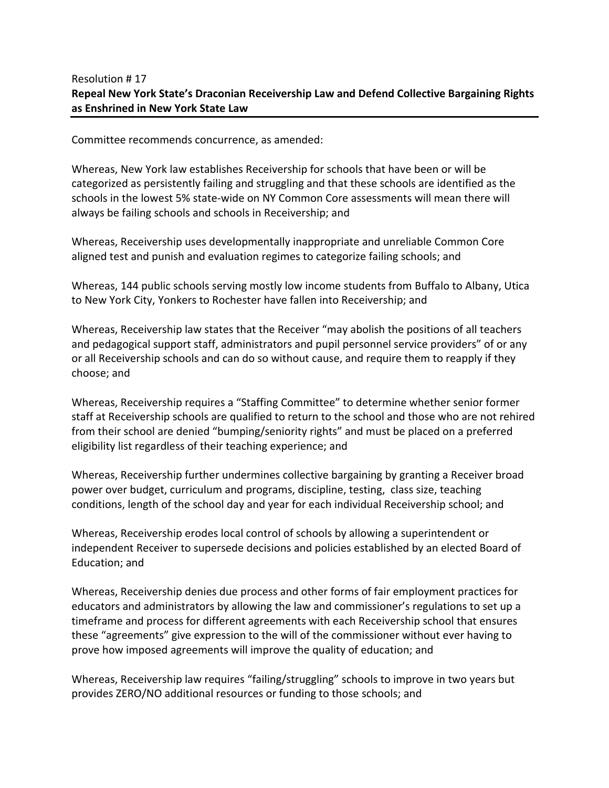## Resolution # 17 **Repeal New York State's Draconian Receivership Law and Defend Collective Bargaining Rights as Enshrined in New York State Law**

Committee recommends concurrence, as amended:

Whereas, New York law establishes Receivership for schools that have been or will be categorized as persistently failing and struggling and that these schools are identified as the schools in the lowest 5% state‐wide on NY Common Core assessments will mean there will always be failing schools and schools in Receivership; and

Whereas, Receivership uses developmentally inappropriate and unreliable Common Core aligned test and punish and evaluation regimes to categorize failing schools; and

Whereas, 144 public schools serving mostly low income students from Buffalo to Albany, Utica to New York City, Yonkers to Rochester have fallen into Receivership; and

Whereas, Receivership law states that the Receiver "may abolish the positions of all teachers and pedagogical support staff, administrators and pupil personnel service providers" of or any or all Receivership schools and can do so without cause, and require them to reapply if they choose; and

Whereas, Receivership requires a "Staffing Committee" to determine whether senior former staff at Receivership schools are qualified to return to the school and those who are not rehired from their school are denied "bumping/seniority rights" and must be placed on a preferred eligibility list regardless of their teaching experience; and

Whereas, Receivership further undermines collective bargaining by granting a Receiver broad power over budget, curriculum and programs, discipline, testing, class size, teaching conditions, length of the school day and year for each individual Receivership school; and

Whereas, Receivership erodes local control of schools by allowing a superintendent or independent Receiver to supersede decisions and policies established by an elected Board of Education; and

Whereas, Receivership denies due process and other forms of fair employment practices for educators and administrators by allowing the law and commissioner's regulations to set up a timeframe and process for different agreements with each Receivership school that ensures these "agreements" give expression to the will of the commissioner without ever having to prove how imposed agreements will improve the quality of education; and

Whereas, Receivership law requires "failing/struggling" schools to improve in two years but provides ZERO/NO additional resources or funding to those schools; and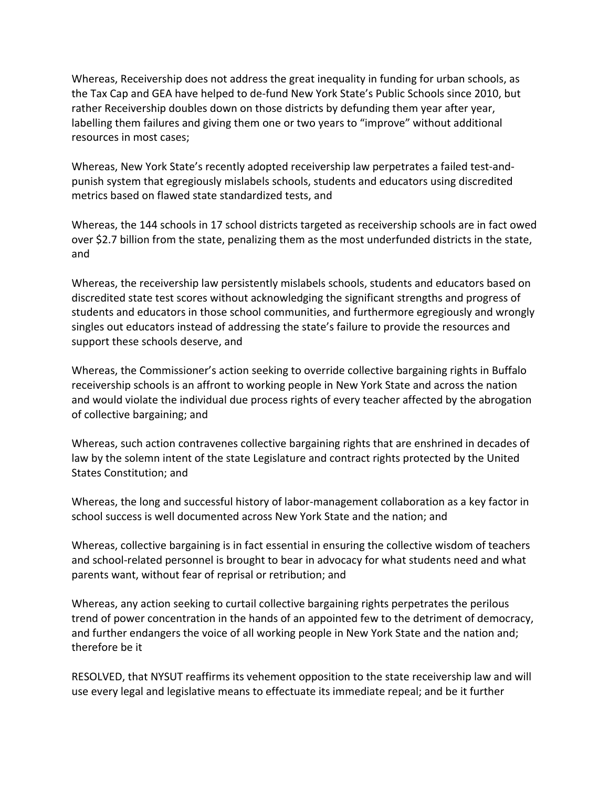Whereas, Receivership does not address the great inequality in funding for urban schools, as the Tax Cap and GEA have helped to de‐fund New York State's Public Schools since 2010, but rather Receivership doubles down on those districts by defunding them year after year, labelling them failures and giving them one or two years to "improve" without additional resources in most cases;

Whereas, New York State's recently adopted receivership law perpetrates a failed test-andpunish system that egregiously mislabels schools, students and educators using discredited metrics based on flawed state standardized tests, and

Whereas, the 144 schools in 17 school districts targeted as receivership schools are in fact owed over \$2.7 billion from the state, penalizing them as the most underfunded districts in the state, and

Whereas, the receivership law persistently mislabels schools, students and educators based on discredited state test scores without acknowledging the significant strengths and progress of students and educators in those school communities, and furthermore egregiously and wrongly singles out educators instead of addressing the state's failure to provide the resources and support these schools deserve, and

Whereas, the Commissioner's action seeking to override collective bargaining rights in Buffalo receivership schools is an affront to working people in New York State and across the nation and would violate the individual due process rights of every teacher affected by the abrogation of collective bargaining; and

Whereas, such action contravenes collective bargaining rights that are enshrined in decades of law by the solemn intent of the state Legislature and contract rights protected by the United States Constitution; and

Whereas, the long and successful history of labor-management collaboration as a key factor in school success is well documented across New York State and the nation; and

Whereas, collective bargaining is in fact essential in ensuring the collective wisdom of teachers and school-related personnel is brought to bear in advocacy for what students need and what parents want, without fear of reprisal or retribution; and

Whereas, any action seeking to curtail collective bargaining rights perpetrates the perilous trend of power concentration in the hands of an appointed few to the detriment of democracy, and further endangers the voice of all working people in New York State and the nation and; therefore be it

RESOLVED, that NYSUT reaffirms its vehement opposition to the state receivership law and will use every legal and legislative means to effectuate its immediate repeal; and be it further